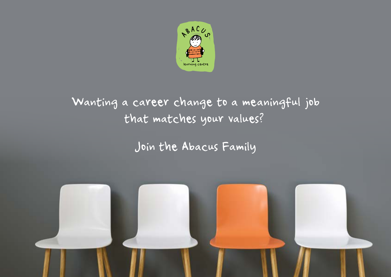

# Wanting a career change to a meaningful job that matches your values?

## Join the Abacus Family

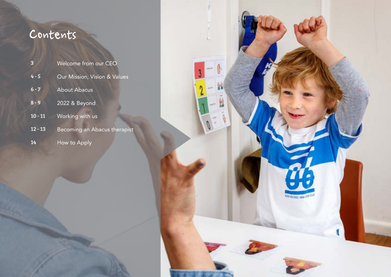# Contents

| $\overline{\mathbf{3}}$ | Welcome from our CEO         |
|-------------------------|------------------------------|
| $4 - 5$                 | Our Mission, Vision & Values |
| $6 - 7$                 | <b>About Abacus</b>          |
| $8 - 9$                 | 2022 & Beyond                |
| $10 - 11$               | Working with us              |
| $12 - 13$               | Becoming an Abacus therapist |
| 14                      | How to Apply                 |

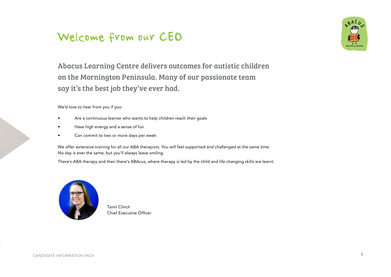## Welcome from our CEO



Abacus Learning Centre delivers outcomes for autistic children on the Mornington Peninsula. Many of our passionate team say it's the best job they've ever had.

We'd love to hear from you if you:

- Are a continuous learner who wants to help children reach their goals
- Have high energy and a sense of fun
- Can commit to two or more days per week

We offer extensive training for all our ABA therapists. You will feel supported and challenged at the same time. No day is ever the same, but you'll always leave smiling.

There's ABA therapy and then there's ABAcus, where therapy is led by the child and life changing skills are learnt.



Taimi Clinch Chief Executive Officer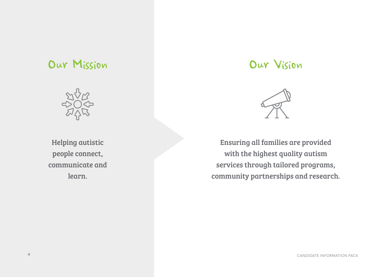## Our Mission Our Vision



Helping autistic people connect, communicate and learn.



Ensuring all families are provided with the highest quality autism services through tailored programs, community partnerships and research.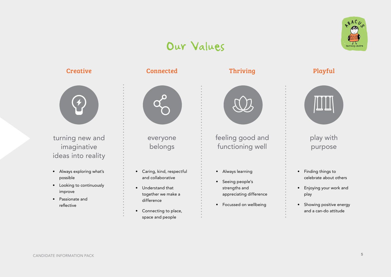## Our Values





turning new and imaginative ideas into reality

- Always exploring what's possible
- Looking to continuously improve
- Passionate and reflective

#### Creative Connected Thriving Playful



everyone belongs

- Caring, kind, respectful and collaborative
- Understand that together we make a difference
- Connecting to place, space and people



feeling good and functioning well

- Always learning
- Seeing people's strengths and appreciating difference
- Focussed on wellbeing



### play with purpose

- Finding things to celebrate about others
- Enjoying your work and play
- Showing positive energy and a can-do attitude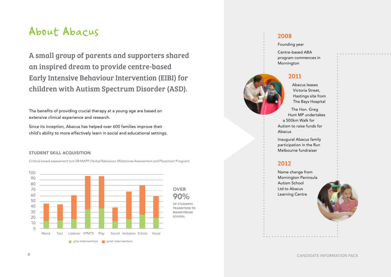## About Abacus

A small group of parents and supporters shared an inspired dream to provide centre-based Early Intensive Behaviour Intervention (EIBI) for children with Autism Spectrum Disorder (ASD).

The benefits of providing crucial therapy at a young age are based on extensive clinical experience and research.

Since its inception, Abacus has helped over 600 families improve their child's ability to more effectively learn in social and educational settings.

#### STUDENT SKILL ACQUISITION

Criteria based assessment tool VB MAPP (Verbal Behaviour Milestones Assessment and Placement Program)



#### 2008

Founding year

Centre-based ABA program commences in Mornington

#### 2011

Abacus leases Victoria Street, Hastings site from The Bays Hospital

The Hon. Greg Hunt MP undertakes a 500km Walk for Autism to raise funds for Abacus

Inaugural Abacus family participation in the Run Melbourne fundraiser

#### 2012

Name change from Mornington Peninsula Autism School Ltd to Abacus Learning Centre



CANDIDATE INFORMATION PACK 6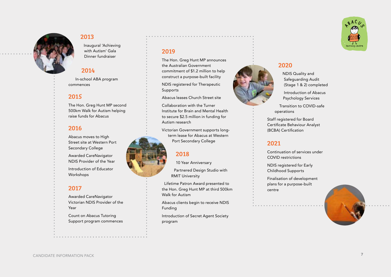

#### 2013

Inaugural 'Achieving with Autism' Gala Dinner fundraiser

#### 2014

In-school ABA program commences

#### 2015

The Hon. Greg Hunt MP second 500km Walk for Autism helping raise funds for Abacus

#### 2016

Abacus moves to High Street site at Western Port Secondary College

Awarded CareNavigator NDIS Provider of the Year

Introduction of Educator Workshops

#### 2017

Awarded CareNavigator Victorian NDIS Provider of the Year

Count on Abacus Tutoring Support program commences

#### 2019

The Hon. Greg Hunt MP announces the Australian Government commitment of \$1.2 million to help construct a purpose-built facility

NDIS registered for Therapeutic Supports

Abacus leases Church Street site

Collaboration with the Turner Institute for Brain and Mental Health to secure \$2.5 million in funding for Autism research

Victorian Government supports longterm lease for Abacus at Western Port Secondary College

#### 2018

10 Year Anniversary

Partnered Design Studio with RMIT University

Lifetime Patron Award presented to the Hon. Greg Hunt MP at third 500km Walk for Autism

Abacus clients begin to receive NDIS Funding

Introduction of Secret Agent Society program



NDIS Quality and Safeguarding Audit (Stage 1 & 2) completed

Introduction of Abacus Psychology Services

Transition to COVID-safe operations

Staff registered for Board Certificate Behaviour Analyst (BCBA) Certification

#### 2021

Continuation of services under COVID restrictions

NDIS registered for Early Childhood Supports

Finalisation of development plans for a purpose-built centre



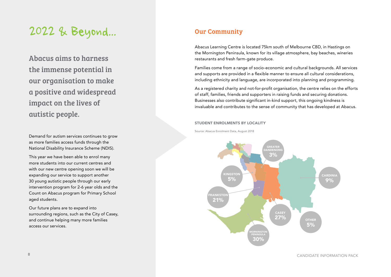# 2022 & Beyond...

Abacus aims to harness the immense potential in our organisation to make a positive and widespread impact on the lives of autistic people.

Demand for autism services continues to grow as more families access funds through the National Disability Insurance Scheme (NDIS).

This year we have been able to enrol many more students into our current centres and with our new centre opening soon we will be expanding our service to support another 30 young autistic people through our early intervention program for 2-6 year olds and the Count on Abacus program for Primary School aged students.

Our future plans are to expand into surrounding regions, such as the City of Casey, and continue helping many more families access our services.

### Our Community

Abacus Learning Centre is located 75km south of Melbourne CBD, in Hastings on the Mornington Peninsula, known for its village atmosphere, bay beaches, wineries restaurants and fresh farm-gate produce.

Families come from a range of socio-economic and cultural backgrounds. All services and supports are provided in a flexible manner to ensure all cultural considerations, including ethnicity and language, are incorporated into planning and programming.

As a registered charity and not-for-profit organisation, the centre relies on the efforts of staff, families, friends and supporters in raising funds and securing donations. Businesses also contribute significant in-kind support, this ongoing kindness is invaluable and contributes to the sense of community that has developed at Abacus.

#### STUDENT ENROLMENTS BY LOCALITY

Source: Abacus Enrolment Data, August 2018



**8** A CANDIDATE INFORMATION PACK **8**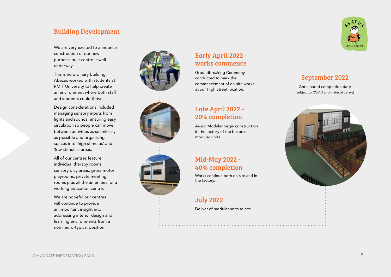#### Building Development

We are very excited to announce construction of our new purpose-built centre is well underway.

This is no ordinary building. Abacus worked with students at RMIT University to help create an environment where both staff and students could thrive. .<br>r

Design considerations included managing sensory inputs from **2 4 6 10 11** lights and sounds, ensuring easy lights and sounds, ensuring easy circulation so people can move between activities as seamlessly as possible and organising spaces into 'high stimulus' and 'low stimulus' areas.

> All of our centres feature individual therapy rooms, sensory play areas, gross motor playrooms, private meeting rooms plus all the amenities for a working education centre.

We are hopeful our centres **R**  $\bullet$  **B**  $\bullet$  **B**  $\bullet$  **B**  $\bullet$  **B**  $\bullet$  **B**  $\bullet$  **B**  $\bullet$  **B**  $\bullet$  **B**  $\bullet$  **B**  $\bullet$  **B**  $\bullet$  **B**  $\bullet$  **B**  $\bullet$  **B**  $\bullet$  **B**  $\bullet$  **B**  $\bullet$  **B**  $\bullet$  **B**  $\bullet$  **B**  $\bullet$  **B**  $\bullet$  **B**  $\bullet$  **B**  $\bullet$  **B**  $\bullet$  **B**  $\bullet$  **B**  $\$ an important insight into addressing interior design and learning environments from a non neuro-typical position.







9880 1280

#### Early April 2022 works commence

Groundbreaking Ceremony conducted to mark the commencement of on-site works at our High Street location.

#### Late April 2022 - 20% completion

Ausco Modular begin construction in the factory of the bespoke modular units.

#### Mid-May 2022 -40% completion

Works continue both on-site and in the factory. The factory of the factory of the south 9. Northeast 1. Northeast 1. Northeast 1. Northeast 1. Northeast 1. Northeast 1. Northeast 1. Northeast 1. Northeast 1. Northeast 1. Northeast 1. Northeast 1. Northeast

#### July 2022

3842 OVERALL HEIGHT

Deliver of modular units to site.



### September 2022

(subject to COVID and material delays) Anticipated completion date

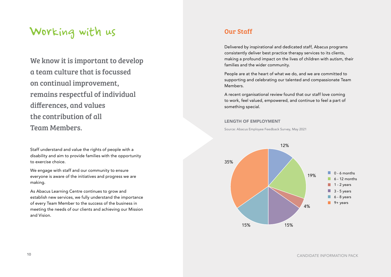## Working with us

We know it is important to develop a team culture that is focussed on continual improvement, remains respectful of individual differences, and values the contribution of all Team Members.

Staff understand and value the rights of people with a disability and aim to provide families with the opportunity to exercise choice.

We engage with staff and our community to ensure everyone is aware of the initiatives and progress we are making.

As Abacus Learning Centre continues to grow and establish new services, we fully understand the importance of every Team Member to the success of the business in meeting the needs of our clients and achieving our Mission and Vision.

#### Our Staff

Delivered by inspirational and dedicated staff, Abacus programs consistently deliver best practice therapy services to its clients, making a profound impact on the lives of children with autism, their families and the wider community.

People are at the heart of what we do, and we are committed to supporting and celebrating our talented and compassionate Team Members.

A recent organisational review found that our staff love coming to work, feel valued, empowered, and continue to feel a part of something special.

#### LENGTH OF EMPLOYMENT

Source: Abacus Employee Feedback Survey, May 2021

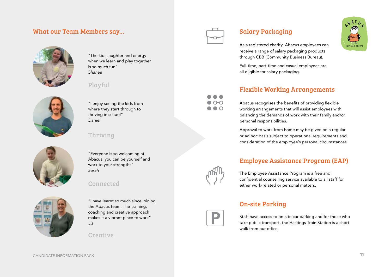#### What our Team Members say...



"The kids laughter and energy when we learn and play together is so much fun" *Shanae*

#### Playful



"I enjoy seeing the kids from where they start through to thriving in school" *Daniel*

"Everyone is so welcoming at Abacus, you can be yourself and

work to your strengths"

Connected

#### Thriving

*Sarah*



"I have learnt so much since joining the Abacus team. The training, coaching and creative approach makes it a vibrant place to work" *Liz*

**Creative** 



### Salary Packaging

As a registered charity, Abacus employees can receive a range of salary packaging products through CBB (Community Business Bureau).

Full-time, part-time and casual employees are all eligible for salary packaging.

#### Flexible Working Arrangements

Abacus recognises the benefits of providing flexible working arrangements that will assist employees with balancing the demands of work with their family and/or personal responsibilities.

Approval to work from home may be given on a regular or ad hoc basis subject to operational requirements and consideration of the employee's personal circumstances.

#### Employee Assistance Program (EAP)



The Employee Assistance Program is a free and confidential counselling service available to all staff for either work-related or personal matters.

#### On-site Parking



Staff have access to on-site car parking and for those who take public transport, the Hastings Train Station is a short walk from our office.



CANDIDATE INFORMATION PACK 11 (1999) CANDIDATE INFORMATION PACK 11 (1999) CANDIDATE INFORMATION PACK 11 (1999)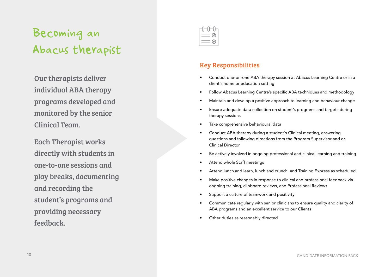# Becoming an Abacus therapist

Our therapists deliver individual ABA therapy programs developed and monitored by the senior Clinical Team.

Each Therapist works directly with students in one-to-one sessions and play breaks, documenting and recording the student's programs and providing necessary feedback.



### Key Responsibilities

- Conduct one-on-one ABA therapy session at Abacus Learning Centre or in a client's home or education setting
- Follow Abacus Learning Centre's specific ABA techniques and methodology
- Maintain and develop a positive approach to learning and behaviour change
- Ensure adequate data collection on student's programs and targets during therapy sessions
- Take comprehensive behavioural data
- Conduct ABA therapy during a student's Clinical meeting, answering questions and following directions from the Program Supervisor and or Clinical Director
- Be actively involved in ongoing professional and clinical learning and training
- Attend whole Staff meetings
- Attend lunch and learn, lunch and crunch, and Training Express as scheduled
- Make positive changes in response to clinical and professional feedback via ongoing training, clipboard reviews, and Professional Reviews
- Support a culture of teamwork and positivity
- Communicate regularly with senior clinicians to ensure quality and clarity of ABA programs and an excellent service to our Clients
- Other duties as reasonably directed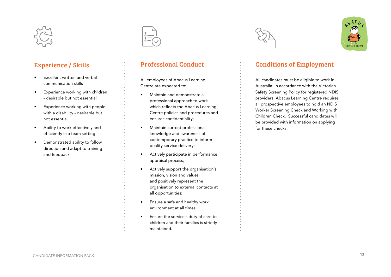

#### Experience / Skills

- Excellent written and verbal communication skills
- Experience working with children - desirable but not essential
- Experience working with people with a disability - desirable but not essential
- Ability to work effectively and efficiently in a team setting
- Demonstrated ability to follow direction and adapt to training and feedback



#### Professional Conduct

All employees of Abacus Learning Centre are expected to:

- Maintain and demonstrate a professional approach to work which reflects the Abacus Learning Centre policies and procedures and ensures confidentiality;
- Maintain current professional knowledge and awareness of contemporary practice to inform quality service delivery;
- Actively participate in performance appraisal process;
- Actively support the organisation's mission, vision and values and positively represent the organisation to external contacts at all opportunities;
- Ensure a safe and healthy work environment at all times;
- Ensure the service's duty of care to children and their families is strictly maintained.





#### Conditions of Employment

All candidates must be eligible to work in Australia. In accordance with the Victorian Safety Screening Policy for registered NDIS providers, Abacus Learning Centre requires all prospective employees to hold an NDIS Worker Screening Check and Working with Children Check. Successful candidates will be provided with information on applying for these checks.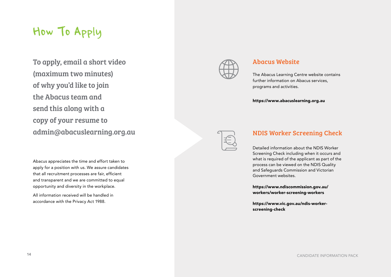## How To Apply

To apply, email a short video (maximum two minutes) of why you'd like to join the Abacus team and send this along with a copy of your resume to [admin@abacuslearning.org.au](mailto:admin%40abacuslearning.org.au?subject=)

Abacus appreciates the time and effort taken to apply for a position with us. We assure candidates that all recruitment processes are fair, efficient and transparent and we are committed to equal opportunity and diversity in the workplace.

All information received will be handled in accordance with the Privacy Act 1988.



#### Abacus Website

The Abacus Learning Centre website contains further information on Abacus services, programs and activities.

<https://www.abacuslearning.org.au>



#### NDIS Worker Screening Check

Detailed information about the NDIS Worker Screening Check including when it occurs and what is required of the applicant as part of the process can be viewed on the NDIS Quality and Safeguards Commission and Victorian Government websites.

[https://www.ndiscommission.gov.au/](https://www.ndiscommission.gov.au/workers/worker-screening-workers) [workers/worker-screening-workers](https://www.ndiscommission.gov.au/workers/worker-screening-workers)

[https://www.vic.gov.au/ndis-worker](https://www.vic.gov.au/ndis-worker-screening-check)[screening-check](https://www.vic.gov.au/ndis-worker-screening-check)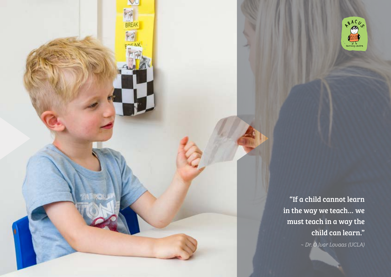"If a child cannot learn in the way we teach… we must teach in a way the child can learn."

*~ Dr. O Ivar Lovaas (UCLA)*

learning centre

A B A C U